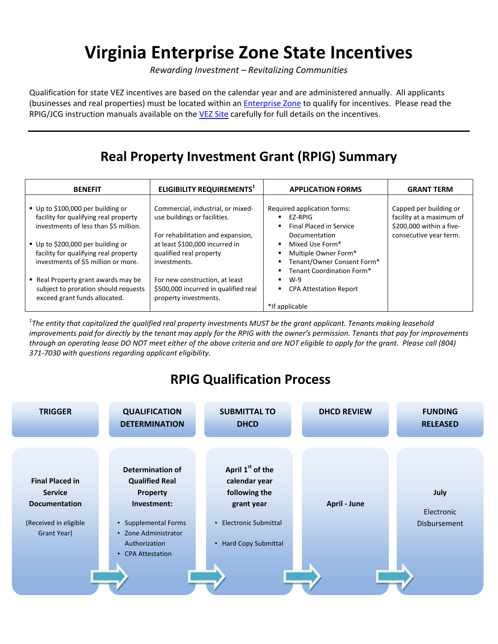# **Virginia Enterprise Zone State Incentives**

*Rewarding Investment – Revitalizing Communities*

Qualification for state VEZ incentives are based on the calendar year and are administered annually. All applicants (businesses and real properties) must be located within a[n Enterprise Zone](http://www.dhcd.virginia.gov/images/VEZ/VEZ-MAP.pdf) to qualify for incentives. Please read the RPIG/JCG instruction manuals available on the [VEZ Site](http://www.dhcd.virginia.gov/index.php/community-partnerships-dhcd/downtown-revitalization/enterprise-zone.html) carefully for full details on the incentives.

# **Real Property Investment Grant (RPIG) Summary**

| <b>BENEFIT</b>                                                                                                      | ELIGIBILITY REQUIREMENTS <sup>1</sup>                                                                  | <b>APPLICATION FORMS</b>                                                                                                   | <b>GRANT TERM</b>                                                                                        |
|---------------------------------------------------------------------------------------------------------------------|--------------------------------------------------------------------------------------------------------|----------------------------------------------------------------------------------------------------------------------------|----------------------------------------------------------------------------------------------------------|
| ■ Up to \$100,000 per building or<br>facility for qualifying real property<br>investments of less than \$5 million. | Commercial, industrial, or mixed-<br>use buildings or facilities.<br>For rehabilitation and expansion, | Required application forms:<br>EZ-RPIG<br>٠<br><b>Final Placed in Service</b><br>۰.<br>Documentation                       | Capped per building or<br>facility at a maximum of<br>\$200,000 within a five-<br>consecutive year term. |
| ■ Up to \$200,000 per building or<br>facility for qualifying real property<br>investments of \$5 million or more.   | at least \$100,000 incurred in<br>qualified real property<br>investments.                              | Mixed Use Form*<br>$\blacksquare$<br>Multiple Owner Form*<br>۰.<br>Tenant/Owner Consent Form*<br>Tenant Coordination Form* |                                                                                                          |
| ■ Real Property grant awards may be<br>subject to proration should requests<br>exceed grant funds allocated.        | For new construction, at least<br>\$500,000 incurred in qualified real<br>property investments.        | $W-9$<br><b>CPA Attestation Report</b><br>٠<br>*If applicable                                                              |                                                                                                          |

*1 The entity that capitalized the qualified real property investments MUST be the grant applicant. Tenants making leasehold improvements paid for directly by the tenant may apply for the RPIG with the owner's permission. Tenants that pay for improvements through an operating lease DO NOT meet either of the above criteria and are NOT eligible to apply for the grant. Please call (804) 371-7030 with questions regarding applicant eligibility.* 

# **RPIG Qualification Process**

| <b>TRIGGER</b>                                                                                           | <b>QUALIFICATION</b><br><b>DETERMINATION</b>                                                                                                               | <b>SUBMITTAL TO</b><br><b>DHCD</b>                                                                                                                                  | <b>DHCD REVIEW</b>  | <b>FUNDING</b><br><b>RELEASED</b>         |
|----------------------------------------------------------------------------------------------------------|------------------------------------------------------------------------------------------------------------------------------------------------------------|---------------------------------------------------------------------------------------------------------------------------------------------------------------------|---------------------|-------------------------------------------|
| <b>Final Placed in</b><br><b>Service</b><br><b>Documentation</b><br>(Received in eligible<br>Grant Year) | Determination of<br><b>Qualified Real</b><br>Property<br>Investment:<br>• Supplemental Forms<br>• Zone Administrator<br>Authorization<br>• CPA Attestation | April 1 <sup>st</sup> of the<br>calendar year<br>following the<br>grant year<br><b>Electronic Submittal</b><br>$\bullet$<br><b>Hard Copy Submittal</b><br>$\bullet$ | <b>April - June</b> | July<br>Electronic<br><b>Disbursement</b> |